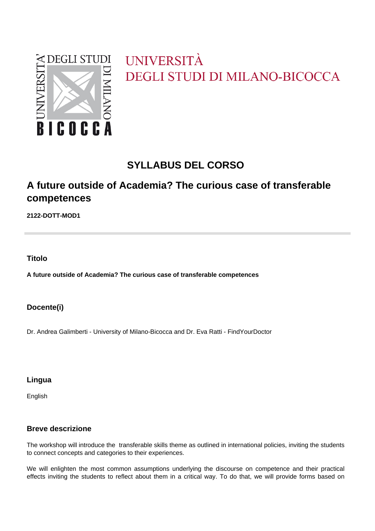

# UNIVERSITÀ DEGLI STUDI DI MILANO-BICOCCA

# **SYLLABUS DEL CORSO**

# **A future outside of Academia? The curious case of transferable competences**

**2122-DOTT-MOD1**

**Titolo**

**A future outside of Academia? The curious case of transferable competences**

## **Docente(i)**

Dr. Andrea Galimberti - University of Milano-Bicocca and Dr. Eva Ratti - FindYourDoctor

## **Lingua**

English

## **Breve descrizione**

The workshop will introduce the transferable skills theme as outlined in international policies, inviting the students to connect concepts and categories to their experiences.

We will enlighten the most common assumptions underlying the discourse on competence and their practical effects inviting the students to reflect about them in a critical way. To do that, we will provide forms based on